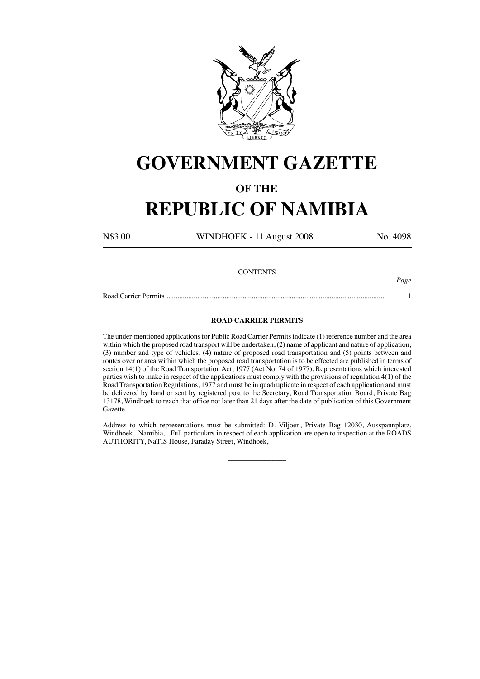

# **GOVERNMENT GAZETTE**

### **OF THE**

## **REPUBLIC OF NAMIBIA**

N\$3.00 WINDHOEK - 11 August 2008 No. 4098

#### **CONTENTS**

*Page*

Road Carrier Permits ........................................................................................................................ 1 \_\_\_\_\_\_\_\_\_\_\_\_\_\_\_

#### **ROAD CARRIER PERMITS**

The under-mentioned applications for Public Road Carrier Permits indicate (1) reference number and the area within which the proposed road transport will be undertaken, (2) name of applicant and nature of application, (3) number and type of vehicles, (4) nature of proposed road transportation and (5) points between and routes over or area within which the proposed road transportation is to be effected are published in terms of section 14(1) of the Road Transportation Act, 1977 (Act No. 74 of 1977), Representations which interested parties wish to make in respect of the applications must comply with the provisions of regulation 4(1) of the Road Transportation Regulations, 1977 and must be in quadruplicate in respect of each application and must be delivered by hand or sent by registered post to the Secretary, Road Transportation Board, Private Bag 13178, Windhoek to reach that office not later than 21 days after the date of publication of this Government Gazette.

Address to which representations must be submitted: D. Viljoen, Private Bag 12030, Ausspannplatz, Windhoek, Namibia, . Full particulars in respect of each application are open to inspection at the ROADS AUTHORITY, NaTIS House, Faraday Street, Windhoek,

 $\overline{\phantom{a}}$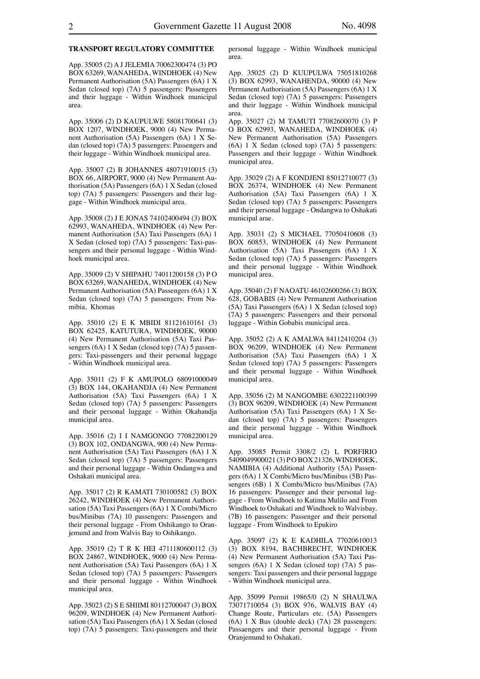#### **TRANSPORT REGULATORY COMMITTEE**

App. 35005 (2) A J JELEMIA 70062300474 (3) PO BOX 63269, WANAHEDA, WINDHOEK (4) New Permanent Authorisation (5A) Passengers (6A) 1 X Sedan (closed top) (7A) 5 passengers: Passengers and their luggage - Within Windhoek municipal area.

App. 35006 (2) D KAUPULWE 58081700641 (3) BOX 1207, WINDHOEK, 9000 (4) New Permanent Authorisation (5A) Passengers (6A) 1 X Sedan (closed top) (7A) 5 passengers: Passengers and their luggage - Within Windhoek municipal area.

App. 35007 (2) B JOHANNES 48071910015 (3) BOX 66, AIRPORT, 9000 (4) New Permanent Authorisation (5A) Passengers (6A) 1 X Sedan (closed top) (7A) 5 passengers: Passengers and their luggage - Within Windhoek municipal area.

App. 35008 (2) J E JONAS 74102400494 (3) BOX 62993, WANAHEDA, WINDHOEK (4) New Permanent Authorisation (5A) Taxi Passengers (6A) 1 X Sedan (closed top) (7A) 5 passengers: Taxi-passengers and their personal luggage - Within Windhoek municipal area.

App. 35009 (2) V SHIPAHU 74011200158 (3) P O BOX 63269, WANAHEDA, WINDHOEK (4) New Permanent Authorisation (5A) Passengers (6A) 1 X Sedan (closed top) (7A) 5 passengers: From Namibia, Khomas

App. 35010 (2) E K MBIDI 81121610161 (3) BOX 62425, KATUTURA, WINDHOEK, 90000 (4) New Permanent Authorisation (5A) Taxi Passengers (6A) 1 X Sedan (closed top) (7A) 5 passengers: Taxi-passengers and their personal luggage - Within Windhoek municipal area.

App. 35011 (2) F K AMUPOLO 68091000049 (3) BOX 144, OKAHANDJA (4) New Permanent Authorisation (5A) Taxi Passengers (6A) 1 X Sedan (closed top) (7A) 5 passengers: Passengers and their personal luggage - Within Okahandja municipal area.

App. 35016 (2) I I NAMGONGO 77082200129 (3) BOX 102, ONDANGWA, 900 (4) New Permanent Authorisation (5A) Taxi Passengers (6A) 1 X Sedan (closed top) (7A) 5 passengers: Passengers and their personal luggage - Within Ondangwa and Oshakati municipal area.

App. 35017 (2) R KAMATI 730100582 (3) BOX 26242, WINDHOEK (4) New Permanent Authorisation (5A) Taxi Passengers (6A) 1 X Combi/Micro bus/Minibus (7A) 10 passengers: Passengers and their personal luggage - From Oshikango to Oranjemund and from Walvis Bay to Oshikango.

App. 35019 (2) T R K HEI 4711180600112 (3) BOX 24867, WINDHOEK, 9000 (4) New Permanent Authorisation (5A) Taxi Passengers (6A) 1 X Sedan (closed top) (7A) 5 passengers: Passengers and their personal luggage - Within Windhoek municipal area.

App. 35023 (2) S E SHIIMI 80112700047 (3) BOX 96209, WINDHOEK (4) New Permanent Authorisation (5A) Taxi Passengers (6A) 1 X Sedan (closed top) (7A) 5 passengers: Taxi-passengers and their personal luggage - Within Windhoek municipal area.

App. 35025 (2) D KUUPULWA 75051810268 (3) BOX 62993, WANAHENDA, 90000 (4) New Permanent Authorisation (5A) Passengers (6A) 1 X Sedan (closed top) (7A) 5 passengers: Passengers and their luggage - Within Windhoek municipal area.

App. 35027 (2) M TAMUTI 77082600070 (3) P O BOX 62993, WANAHEDA, WINDHOEK (4) New Permanent Authorisation (5A) Passengers (6A) 1 X Sedan (closed top) (7A) 5 passengers: Passengers and their luggage - Within Windhoek municipal area.

App. 35029 (2) A F KONDJENI 85012710077 (3) BOX 26374, WINDHOEK (4) New Permanent Authorisation (5A) Taxi Passengers (6A) 1 X Sedan (closed top) (7A) 5 passengers: Passengers and their personal luggage - Ondangwa to Oshakati municipal arae.

App. 35031 (2) S MICHAEL 77050410608 (3) BOX 60853, WINDHOEK (4) New Permanent Authorisation (5A) Taxi Passengers (6A) 1 X Sedan (closed top) (7A) 5 passengers: Passengers and their personal luggage - Within Windhoek municipal area.

App. 35040 (2) F NAOATU 46102600266 (3) BOX 628, GOBABIS (4) New Permanent Authorisation (5A) Taxi Passengers (6A) 1 X Sedan (closed top) (7A) 5 passengers: Passengers and their personal luggage - Within Gobabis municipal area.

App. 35052 (2) A K AMALWA 84112410204 (3) BOX 96209, WINDHOEK (4) New Permanent Authorisation (5A) Taxi Passengers (6A) 1 X Sedan (closed top) (7A) 5 passengers: Passengers and their personal luggage - Within Windhoek municipal area.

App. 35056 (2) M NANGOMBE 6302221100399 (3) BOX 96209, WINDHOEK (4) New Permanent Authorisation (5A) Taxi Passengers (6A) 1 X Sedan (closed top) (7A) 5 passengers: Passengers and their personal luggage - Within Windhoek municipal area.

App. 35085 Permit 3308/2 (2) L PORFIRIO 5409049900021 (3) PO BOX 21326, WINDHOEK, NAMIBIA (4) Additional Authority (5A) Passengers (6A) 1 X Combi/Micro bus/Minibus (5B) Passengers (6B) 1 X Combi/Micro bus/Minibus (7A) 16 passengers: Passenger and their personal luggage - From Windhoek to Katima Mulilo and From Windhoek to Oshakati and Windhoek to Walvisbay. (7B) 16 passengers: Passenger and their personal luggage - From Windhoek to Epukiro

App. 35097 (2) K E KADHILA 77020610013 (3) BOX 8194, BACHBRECHT, WINDHOEK (4) New Permanent Authorisation (5A) Taxi Passengers (6A) 1 X Sedan (closed top) (7A) 5 passengers: Taxi passengers and their personal luggage - Within Windhoek municipal area.

App. 35099 Permit 19865/0 (2) N SHAULWA 73071710054 (3) BOX 976, WALVIS BAY (4) Change Route, Particulars etc. (5A) Passengers (6A) 1 X Bus (double deck) (7A) 28 passengers: Passaengers and their personal luggage - From Oranjemund to Oshakati.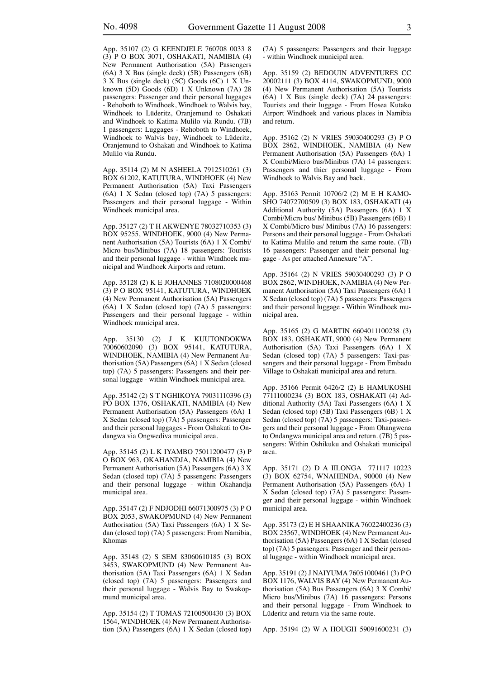App. 35107 (2) G KEENDJELE 760708 0033 8 (3) P O BOX 3071, OSHAKATI, NAMIBIA (4) New Permanent Authorisation (5A) Passengers (6A) 3 X Bus (single deck) (5B) Passengers (6B) 3 X Bus (single deck) (5C) Goods (6C) 1 X Unknown (5D) Goods (6D) 1 X Unknown (7A) 28 passengers: Passenger and their personal luggages - Rehoboth to Windhoek, Windhoek to Walvis bay, Windhoek to Lüderitz, Oranjemund to Oshakati and Windhoek to Katima Mulilo via Rundu. (7B) 1 passengers: Luggages - Rehoboth to Windhoek, Windhoek to Walvis bay, Windhoek to Lüderitz, Oranjemund to Oshakati and Windhoek to Katima Mulilo via Rundu.

App. 35114 (2) M N ASHEELA 7912510261 (3) BOX 61202, KATUTURA, WINDHOEK (4) New Permanent Authorisation (5A) Taxi Passengers (6A) 1 X Sedan (closed top) (7A) 5 passengers: Passengers and their personal luggage - Within Windhoek municipal area.

App. 35127 (2) T H AKWENYE 78032710353 (3) BOX 95255, WINDHOEK, 9000 (4) New Permanent Authorisation (5A) Tourists (6A) 1 X Combi/ Micro bus/Minibus (7A) 18 passengers: Tourists and their personal luggage - within Windhoek municipal and Windhoek Airports and return.

App. 35128 (2) K E JOHANNES 7108020000468 (3) P O BOX 95141, KATUTURA, WINDHOEK (4) New Permanent Authorisation (5A) Passengers (6A) 1 X Sedan (closed top) (7A) 5 passengers: Passengers and their personal luggage - within Windhoek municipal area.

App. 35130 (2) J K KUUTONDOKWA 70060602090 (3) BOX 95141, KATUTURA, WINDHOEK, NAMIBIA (4) New Permanent Authorisation (5A) Passengers (6A) 1 X Sedan (closed top) (7A) 5 passengers: Passengers and their personal luggage - within Windhoek municipal area.

App. 35142 (2) S T NGHIKOYA 79031110396 (3) PO BOX 1376, OSHAKATI, NAMIBIA (4) New Permanent Authorisation (5A) Passengers (6A) 1 X Sedan (closed top) (7A) 5 passengers: Passenger and their personal luggages - From Oshakati to Ondangwa via Ongwediva municipal area.

App. 35145 (2) L K IYAMBO 75011200477 (3) P O BOX 963, OKAHANDJA, NAMIBIA (4) New Permanent Authorisation (5A) Passengers (6A) 3 X Sedan (closed top) (7A) 5 passengers: Passengers and their personal luggage - within Okahandja municipal area.

App. 35147 (2) F NDJODHI 66071300975 (3) P O BOX 2053, SWAKOPMUND (4) New Permanent Authorisation (5A) Taxi Passengers (6A) 1 X Sedan (closed top) (7A) 5 passengers: From Namibia, Khomas

App. 35148 (2) S SEM 83060610185 (3) BOX 3453, SWAKOPMUND (4) New Permanent Authorisation (5A) Taxi Passengers (6A) 1 X Sedan (closed top) (7A) 5 passengers: Passengers and their personal luggage - Walvis Bay to Swakopmund municipal area.

App. 35154 (2) T TOMAS 72100500430 (3) BOX 1564, WINDHOEK (4) New Permanent Authorisation (5A) Passengers (6A) 1 X Sedan (closed top) (7A) 5 passengers: Passengers and their luggage - within Windhoek municipal area.

App. 35159 (2) BEDOUIN ADVENTURES CC 20002111 (3) BOX 4114, SWAKOPMUND, 9000 (4) New Permanent Authorisation (5A) Tourists (6A) 1 X Bus (single deck) (7A) 24 passengers: Tourists and their luggage - From Hosea Kutako Airport Windhoek and various places in Namibia and return.

App. 35162 (2) N VRIES 59030400293 (3) P O BOX 2862, WINDHOEK, NAMIBIA (4) New Permanent Authorisation (5A) Passengers (6A) 1 X Combi/Micro bus/Minibus (7A) 14 passengers: Passengers and thier personal luggage - From Windhoek to Walvis Bay and back.

App. 35163 Permit 10706/2 (2) M E H KAMO-SHO 74072700509 (3) BOX 183, OSHAKATI (4) Additional Authority (5A) Passengers (6A) 1 X Combi/Micro bus/ Minibus (5B) Passengers (6B) 1 X Combi/Micro bus/ Minibus (7A) 16 passengers: Persons and their personal luggage - From Oshakati to Katima Mulilo and return the same route. (7B) 16 passengers: Passenger and their personal luggage - As per attached Annexure "A".

App. 35164 (2) N VRIES 59030400293 (3) P O BOX 2862, WINDHOEK, NAMIBIA (4) New Permanent Authorisation (5A) Taxi Passengers (6A) 1 X Sedan (closed top) (7A) 5 passengers: Passengers and their personal luggage - Within Windhoek municipal area.

App. 35165 (2) G MARTIN 6604011100238 (3) BOX 183, OSHAKATI, 9000 (4) New Permanent Authorisation (5A) Taxi Passengers (6A) 1 X Sedan (closed top) (7A) 5 passengers: Taxi-passengers and their personal luggage - From Embadu Village to Oshakati municipal area and return.

App. 35166 Permit 6426/2 (2) E HAMUKOSHI 77111000234 (3) BOX 183, OSHAKATI (4) Additional Authority (5A) Taxi Passengers (6A) 1 X Sedan (closed top) (5B) Taxi Passengers (6B) 1 X Sedan (closed top) (7A) 5 passengers: Taxi-passengers and their personal luggage - From Ohangwena to Ondangwa municipal area and return. (7B) 5 passengers: Within Oshikuku and Oshakati municipal area.

App. 35171 (2) D A IILONGA 771117 10223 (3) BOX 62754, WNAHENDA, 90000 (4) New Permanent Authorisation (5A) Passengers (6A) 1 X Sedan (closed top) (7A) 5 passengers: Passenger and their personal luggage - within Windhoek municipal area.

App. 35173 (2) E H SHAANIKA 76022400236 (3) BOX 23567, WINDHOEK (4) New Permanent Authorisation (5A) Passengers (6A) 1 X Sedan (closed top) (7A) 5 passengers: Passenger and their personal luggage - within Windhoek municipal area.

App. 35191 (2) J NAIYUMA 76051000461 (3) P O BOX 1176, WALVIS BAY (4) New Permanent Authorisation (5A) Bus Passengers (6A) 3 X Combi/ Micro bus/Minibus (7A) 16 passengers: Persons and their personal luggage - From Windhoek to Lüderitz and return via the same route.

App. 35194 (2) W A HOUGH 59091600231 (3)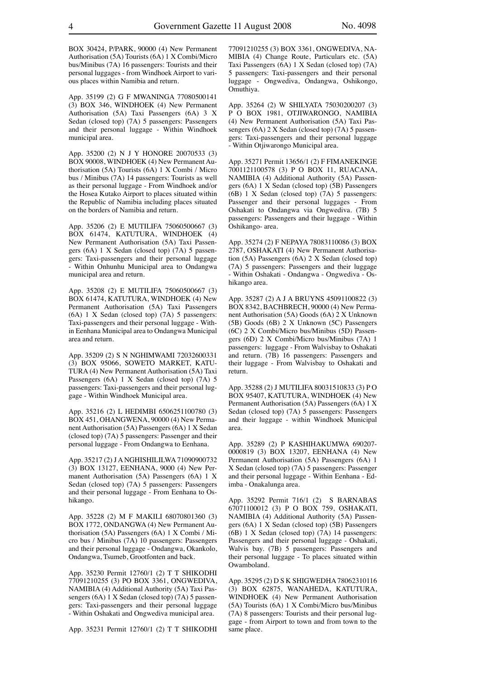BOX 30424, P/PARK, 90000 (4) New Permanent Authorisation (5A) Tourists (6A) 1 X Combi/Micro bus/Minibus (7A) 16 passengers: Tourists and their personal luggages - from Windhoek Airport to various places within Namibia and return.

App. 35199 (2) G F MWANINGA 77080500141 (3) BOX 346, WINDHOEK (4) New Permanent Authorisation (5A) Taxi Passengers (6A) 3 X Sedan (closed top) (7A) 5 passengers: Passengers and their personal luggage - Within Windhoek municipal area.

App. 35200 (2) N J Y HONORE 20070533 (3) BOX 90008, WINDHOEK (4) New Permanent Authorisation (5A) Tourists (6A) 1 X Combi / Micro bus / Minibus (7A) 14 passengers: Tourists as well as their personal luggage - From Windhoek and/or the Hosea Kutako Airport to places situated within the Republic of Namibia including places situated on the borders of Namibia and return.

App. 35206 (2) E MUTILIFA 75060500667 (3) BOX 61474, KATUTURA, WINDHOEK (4) New Permanent Authorisation (5A) Taxi Passengers (6A) 1 X Sedan (closed top) (7A) 5 passengers: Taxi-passengers and their personal luggage - Within Onhunhu Municipal area to Ondangwa municipal area and return.

App. 35208 (2) E MUTILIFA 75060500667 (3) BOX 61474, KATUTURA, WINDHOEK (4) New Permanent Authorisation (5A) Taxi Passengers (6A) 1 X Sedan (closed top) (7A) 5 passengers: Taxi-passengers and their personal luggage - Within Eenhana Municipal area to Ondangwa Municipal area and return.

App. 35209 (2) S N NGHIMWAMI 72032600331 (3) BOX 95066, SOWETO MARKET, KATU-TURA (4) New Permanent Authorisation (5A) Taxi Passengers (6A) 1 X Sedan (closed top) (7A) 5 passengers: Taxi-passengers and their personal luggage - Within Windhoek Municipal area.

App. 35216 (2) L HEDIMBI 6506251100780 (3) BOX 451, OHANGWENA, 90000 (4) New Permanent Authorisation (5A) Passengers (6A) 1 X Sedan (closed top) (7A) 5 passengers: Passenger and their personal luggage - From Ondangwa to Eenhana.

App. 35217 (2) J A NGHISHILILWA 71090900732 (3) BOX 13127, EENHANA, 9000 (4) New Permanent Authorisation (5A) Passengers (6A) 1 X Sedan (closed top) (7A) 5 passengers: Passengers and their personal luggage - From Eenhana to Oshikango.

App. 35228 (2) M F MAKILI 68070801360 (3) BOX 1772, ONDANGWA (4) New Permanent Authorisation (5A) Passengers (6A) 1 X Combi / Micro bus / Minibus (7A) 10 passengers: Passengers and their personal luggage - Ondangwa, Okankolo, Ondangwa, Tsumeb, Grootfonten and back.

App. 35230 Permit 12760/1 (2) T T SHIKODHI 77091210255 (3) PO BOX 3361, ONGWEDIVA, NAMIBIA (4) Additional Authority (5A) Taxi Passengers (6A) 1 X Sedan (closed top) (7A) 5 passengers: Taxi-passengers and their personal luggage - Within Oshakati and Ongwediva municipal area.

App. 35231 Permit 12760/1 (2) T T SHIKODHI

77091210255 (3) BOX 3361, ONGWEDIVA, NA-MIBIA (4) Change Route, Particulars etc. (5A) Taxi Passengers (6A) 1 X Sedan (closed top) (7A) 5 passengers: Taxi-passengers and their personal luggage - Ongwediva, Ondangwa, Oshikongo, Omuthiya.

App. 35264 (2) W SHILYATA 75030200207 (3) P O BOX 1981, OTJIWARONGO, NAMIBIA (4) New Permanent Authorisation (5A) Taxi Passengers (6A) 2 X Sedan (closed top) (7A) 5 passengers: Taxi-passengers and their personal luggage - Within Otjiwarongo Municipal area.

App. 35271 Permit 13656/1 (2) F FIMANEKINGE 7001121100578 (3) P O BOX 11, RUACANA, NAMIBIA (4) Additional Authority (5A) Passengers (6A) 1 X Sedan (closed top) (5B) Passengers (6B) 1 X Sedan (closed top) (7A) 5 passengers: Passenger and their personal luggages - From Oshakati to Ondangwa via Ongwediva. (7B) 5 passengers: Passengers and their luggage - Within Oshikango- area.

App. 35274 (2) F NEPAYA 78083110086 (3) BOX 2787, OSHAKATI (4) New Permanent Authorisation (5A) Passengers (6A) 2 X Sedan (closed top) (7A) 5 passengers: Passengers and their luggage - Within Oshakati - Ondangwa - Ongwediva - Oshikango area.

App. 35287 (2) A J A BRUYNS 45091100822 (3) BOX 8342, BACHBRECH, 90000 (4) New Permanent Authorisation (5A) Goods (6A) 2 X Unknown (5B) Goods (6B) 2 X Unknown (5C) Passengers (6C) 2 X Combi/Micro bus/Minibus (5D) Passengers (6D) 2 X Combi/Micro bus/Minibus (7A) 1 passengers: luggage - From Walvisbay to Oshakati and return. (7B) 16 passengers: Passengers and their luggage - From Walvisbay to Oshakati and return.

App. 35288 (2) J MUTILIFA 80031510833 (3) P O BOX 95407, KATUTURA, WINDHOEK (4) New Permanent Authorisation (5A) Passengers (6A) 1 X Sedan (closed top) (7A) 5 passengers: Passengers and their luggage - within Windhoek Municipal area.

App. 35289 (2) P KASHIHAKUMWA 690207- 0000819 (3) BOX 13207, EENHANA (4) New Permanent Authorisation (5A) Passengers (6A) 1 X Sedan (closed top) (7A) 5 passengers: Passenger and their personal luggage - Within Eenhana - Edimba - Onakalunga area.

App. 35292 Permit 716/1 (2) S BARNABAS 67071100012 (3) P O BOX 759, OSHAKATI, NAMIBIA (4) Additional Authority (5A) Passengers (6A) 1 X Sedan (closed top) (5B) Passengers (6B) 1 X Sedan (closed top) (7A) 14 passengers: Passengers and their personal luggage - Oshakati, Walvis bay. (7B) 5 passengers: Passengers and their personal luggage - To places situated within Owamboland.

App. 35295 (2) D S K SHIGWEDHA 78062310116 (3) BOX 62875, WANAHEDA, KATUTURA, WINDHOEK (4) New Permanent Authorisation (5A) Tourists (6A) 1 X Combi/Micro bus/Minibus (7A) 8 passengers: Tourists and their personal luggage - from Airport to town and from town to the same place.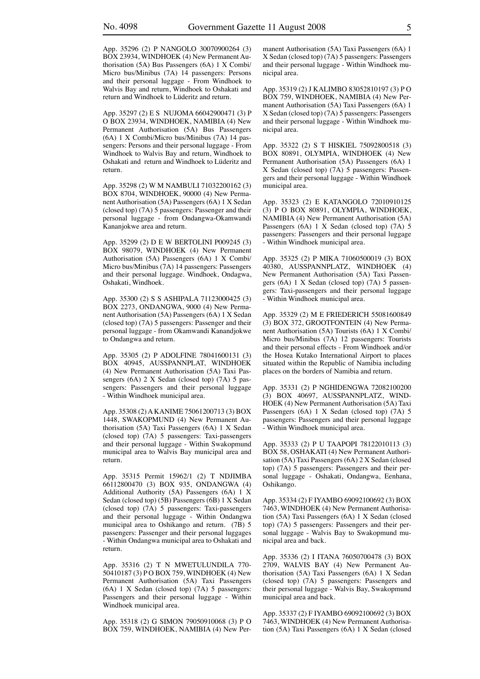App. 35296 (2) P NANGOLO 30070900264 (3) BOX 23934, WINDHOEK (4) New Permanent Authorisation (5A) Bus Passengers (6A) 1 X Combi/ Micro bus/Minibus (7A) 14 passengers: Persons and their personal luggage - From Windhoek to Walvis Bay and return, Windhoek to Oshakati and return and Windhoek to Lüderitz and return.

App. 35297 (2) E S NUJOMA 66042900471 (3) P O BOX 23934, WINDHOEK, NAMIBIA (4) New Permanent Authorisation (5A) Bus Passengers (6A) 1 X Combi/Micro bus/Minibus (7A) 14 passengers: Persons and their personal luggage - From Windhoek to Walvis Bay and return, Windhoek to Oshakati and return and Windhoek to Lüderitz and return.

App. 35298 (2) W M NAMBULI 71032200162 (3) BOX 8704, WINDHOEK, 90000 (4) New Permanent Authorisation (5A) Passengers (6A) 1 X Sedan (closed top) (7A) 5 passengers: Passenger and their personal luggage - from Ondangwa-Okamwandi Kananjokwe area and return.

App. 35299 (2) D E W BERTOLINI P009245 (3) BOX 98079, WINDHOEK (4) New Permanent Authorisation (5A) Passengers (6A) 1 X Combi/ Micro bus/Minibus (7A) 14 passengers: Passengers and their personal luggage. Windhoek, Ondagwa, Oshakati, Windhoek.

App. 35300 (2) S S ASHIPALA 71123000425 (3) BOX 2273, ONDANGWA, 9000 (4) New Permanent Authorisation (5A) Passengers (6A) 1 X Sedan (closed top) (7A) 5 passengers: Passenger and their personal luggage - from Okamwandi Kanandjokwe to Ondangwa and return.

App. 35305 (2) P ADOLFINE 78041600131 (3) BOX 40945, AUSSPANNPLAT, WINDHOEK (4) New Permanent Authorisation (5A) Taxi Passengers (6A) 2 X Sedan (closed top) (7A) 5 passengers: Passengers and their personal luggage - Within Windhoek municipal area.

App. 35308 (2) A KANIME 75061200713 (3) BOX 1448, SWAKOPMUND (4) New Permanent Authorisation (5A) Taxi Passengers (6A) 1 X Sedan (closed top) (7A) 5 passengers: Taxi-passengers and their personal luggage - Within Swakopmund municipal area to Walvis Bay municipal area and return.

App. 35315 Permit 15962/1 (2) T NDJIMBA 66112800470 (3) BOX 935, ONDANGWA (4) Additional Authority (5A) Passengers (6A) 1 X Sedan (closed top) (5B) Passengers (6B) 1 X Sedan (closed top) (7A) 5 passengers: Taxi-passengers and their personal luggage - Within Ondangwa municipal area to Oshikango and return. (7B) 5 passengers: Passenger and their personal luggages - Within Ondangwa municipal area to Oshakati and return.

App. 35316 (2) T N MWETULUNDILA 770- 50410187 (3) P O BOX 759, WINDHOEK (4) New Permanent Authorisation (5A) Taxi Passengers (6A) 1 X Sedan (closed top) (7A) 5 passengers: Passengers and their personal luggage - Within Windhoek municipal area.

App. 35318 (2) G SIMON 79050910068 (3) P O BOX 759, WINDHOEK, NAMIBIA (4) New Permanent Authorisation (5A) Taxi Passengers (6A) 1 X Sedan (closed top) (7A) 5 passengers: Passengers and their personal luggage - Within Windhoek municipal area.

App. 35319 (2) J KALIMBO 83052810197 (3) P O BOX 759, WINDHOEK, NAMIBIA (4) New Permanent Authorisation (5A) Taxi Passengers (6A) 1 X Sedan (closed top) (7A) 5 passengers: Passengers and their personal luggage - Within Windhoek municipal area.

App. 35322 (2) S T HISKIEL 75092800518 (3) BOX 80891, OLYMPIA, WINDHOEK (4) New Permanent Authorisation (5A) Passengers (6A) 1 X Sedan (closed top) (7A) 5 passengers: Passengers and their personal luggage - Within Windhoek municipal area.

App. 35323 (2) E KATANGOLO 72010910125 (3) P O BOX 80891, OLYMPIA, WINDHOEK, NAMIBIA (4) New Permanent Authorisation (5A) Passengers (6A) 1 X Sedan (closed top) (7A) 5 passengers: Passengers and their personal luggage - Within Windhoek municipal area.

App. 35325 (2) P MIKA 71060500019 (3) BOX 40380, AUSSPANNPLATZ, WINDHOEK (4) New Permanent Authorisation (5A) Taxi Passengers (6A) 1 X Sedan (closed top) (7A) 5 passengers: Taxi-passengers and their personal luggage - Within Windhoek municipal area.

App. 35329 (2) M E FRIEDERICH 55081600849 (3) BOX 372, GROOTFONTEIN (4) New Permanent Authorisation (5A) Tourists (6A) 1 X Combi/ Micro bus/Minibus (7A) 12 passengers: Tourists and their personal effects - From Windhoek and/or the Hosea Kutako International Airport to places situated within the Republic of Namibia including places on the borders of Namibia and return.

App. 35331 (2) P NGHIDENGWA 72082100200 (3) BOX 40697, AUSSPANNPLATZ, WIND-HOEK (4) New Permanent Authorisation (5A) Taxi Passengers (6A) 1 X Sedan (closed top) (7A) 5 passengers: Passengers and their personal luggage - Within Windhoek municipal area.

App. 35333 (2) P U TAAPOPI 78122010113 (3) BOX 58, OSHAKATI (4) New Permanent Authorisation (5A) Taxi Passengers (6A) 2 X Sedan (closed top) (7A) 5 passengers: Passengers and their personal luggage - Oshakati, Ondangwa, Eenhana, Oshikango.

App. 35334 (2) F IYAMBO 69092100692 (3) BOX 7463, WINDHOEK (4) New Permanent Authorisation (5A) Taxi Passengers (6A) 1 X Sedan (closed top) (7A) 5 passengers: Passengers and their personal luggage - Walvis Bay to Swakopmund municipal area and back.

App. 35336 (2) I ITANA 76050700478 (3) BOX 2709, WALVIS BAY (4) New Permanent Authorisation (5A) Taxi Passengers (6A) 1 X Sedan (closed top) (7A) 5 passengers: Passengers and their personal luggage - Walvis Bay, Swakopmund municipal area and back.

App. 35337 (2) F IYAMBO 69092100692 (3) BOX 7463, WINDHOEK (4) New Permanent Authorisation (5A) Taxi Passengers (6A) 1 X Sedan (closed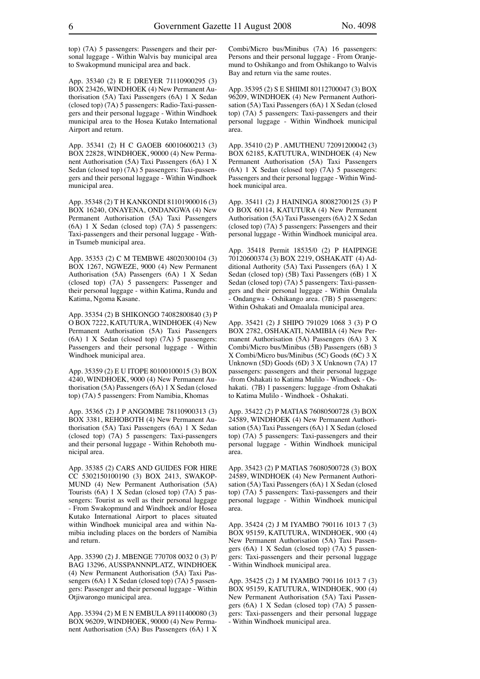top) (7A) 5 passengers: Passengers and their personal luggage - Within Walvis bay municipal area to Swakopmund municipal area and back.

App. 35340 (2) R E DREYER 71110900295 (3) BOX 23426, WINDHOEK (4) New Permanent Authorisation (5A) Taxi Passengers (6A) 1 X Sedan (closed top) (7A) 5 passengers: Radio-Taxi-passengers and their personal luggage - Within Windhoek municipal area to the Hosea Kutako International Airport and return.

App. 35341 (2) H C GAOEB 60010600213 (3) BOX 22828, WINDHOEK, 90000 (4) New Permanent Authorisation (5A) Taxi Passengers (6A) 1 X Sedan (closed top) (7A) 5 passengers: Taxi-passengers and their personal luggage - Within Windhoek municipal area.

App. 35348 (2) T H KANKONDI 81101900016 (3) BOX 16240, ONAYENA, ONDANGWA (4) New Permanent Authorisation (5A) Taxi Passengers (6A) 1 X Sedan (closed top) (7A) 5 passengers: Taxi-passengers and their personal luggage - Within Tsumeb municipal area.

App. 35353 (2) C M TEMBWE 48020300104 (3) BOX 1267, NGWEZE, 9000 (4) New Permanent Authorisation (5A) Passengers (6A) 1 X Sedan (closed top) (7A) 5 passengers: Passenger and their personal luggage - within Katima, Rundu and Katima, Ngoma Kasane.

App. 35354 (2) B SHIKONGO 74082800840 (3) P O BOX 7222, KATUTURA, WINDHOEK (4) New Permanent Authorisation (5A) Taxi Passengers (6A) 1 X Sedan (closed top) (7A) 5 passengers: Passengers and their personal luggage - Within Windhoek municipal area.

App. 35359 (2) E U ITOPE 80100100015 (3) BOX 4240, WINDHOEK, 9000 (4) New Permanent Authorisation (5A) Passengers (6A) 1 X Sedan (closed top) (7A) 5 passengers: From Namibia, Khomas

App. 35365 (2) J P ANGOMBE 78110900313 (3) BOX 3381, REHOBOTH (4) New Permanent Authorisation (5A) Taxi Passengers (6A) 1 X Sedan (closed top) (7A) 5 passengers: Taxi-passengers and their personal luggage - Within Rehoboth municipal area.

App. 35385 (2) CARS AND GUIDES FOR HIRE CC 5302150100190 (3) BOX 2413, SWAKOP-MUND (4) New Permanent Authorisation (5A) Tourists (6A) 1 X Sedan (closed top) (7A) 5 passengers: Tourist as well as their personal luggage - From Swakopmund and Windhoek and/or Hosea Kutako International Airport to places situated within Windhoek municipal area and within Namibia including places on the borders of Namibia and return.

App. 35390 (2) J. MBENGE 770708 0032 0 (3) P/ BAG 13296, AUSSPANNNPLATZ, WINDHOEK (4) New Permanent Authorisation (5A) Taxi Passengers (6A) 1 X Sedan (closed top) (7A) 5 passengers: Passenger and their personal luggage - Within Otjiwarongo municipal area.

App. 35394 (2) M E N EMBULA 89111400080 (3) BOX 96209, WINDHOEK, 90000 (4) New Permanent Authorisation (5A) Bus Passengers (6A) 1 X Combi/Micro bus/Minibus (7A) 16 passengers: Persons and their personal luggage - From Oranjemund to Oshikango and from Oshikango to Walvis Bay and return via the same routes.

App. 35395 (2) S E SHIIMI 80112700047 (3) BOX 96209, WINDHOEK (4) New Permanent Authorisation (5A) Taxi Passengers (6A) 1 X Sedan (closed top) (7A) 5 passengers: Taxi-passengers and their personal luggage - Within Windhoek municipal area.

App. 35410 (2) P . AMUTHENU 72091200042 (3) BOX 62185, KATUTURA, WINDHOEK (4) New Permanent Authorisation (5A) Taxi Passengers (6A) 1 X Sedan (closed top) (7A) 5 passengers: Passengers and their personal luggage - Within Windhoek municipal area.

App. 35411 (2) J HAININGA 80082700125 (3) P O BOX 60114, KATUTURA (4) New Permanent Authorisation (5A) Taxi Passengers (6A) 2 X Sedan (closed top) (7A) 5 passengers: Passengers and their personal luggage - Within Windhoek municipal area.

App. 35418 Permit 18535/0 (2) P HAIPINGE 70120600374 (3) BOX 2219, OSHAKATI` (4) Additional Authority (5A) Taxi Passengers (6A) 1 X Sedan (closed top) (5B) Taxi Passengers (6B) 1 X Sedan (closed top) (7A) 5 passengers: Taxi-passengers and their personal luggage - Within Omalala - Ondangwa - Oshikango area. (7B) 5 passengers: Within Oshakati and Omaalala municipal area.

App. 35421 (2) J SHIPO 791029 1068 3 (3) P O BOX 2782, OSHAKATI, NAMIBIA (4) New Permanent Authorisation (5A) Passengers (6A) 3 X Combi/Micro bus/Minibus (5B) Passengers (6B) 3 X Combi/Micro bus/Minibus (5C) Goods (6C) 3 X Unknown (5D) Goods (6D) 3 X Unknown (7A) 17 passengers: passengers and their personal luggage -from Oshakati to Katima Mulilo - Windhoek - Oshakati. (7B) 1 passengers: luggage -from Oshakati to Katima Mulilo - Windhoek - Oshakati.

App. 35422 (2) P MATIAS 76080500728 (3) BOX 24589, WINDHOEK (4) New Permanent Authorisation (5A) Taxi Passengers (6A) 1 X Sedan (closed top) (7A) 5 passengers: Taxi-passengers and their personal luggage - Within Windhoek municipal area.

App. 35423 (2) P MATIAS 76080500728 (3) BOX 24589, WINDHOEK (4) New Permanent Authorisation (5A) Taxi Passengers (6A) 1 X Sedan (closed top) (7A) 5 passengers: Taxi-passengers and their personal luggage - Within Windhoek municipal area.

App. 35424 (2) J M IYAMBO 790116 1013 7 (3) BOX 95159, KATUTURA, WINDHOEK, 900 (4) New Permanent Authorisation (5A) Taxi Passengers (6A) 1 X Sedan (closed top) (7A) 5 passengers: Taxi-passengers and their personal luggage - Within Windhoek municipal area.

App. 35425 (2) J M IYAMBO 790116 1013 7 (3) BOX 95159, KATUTURA, WINDHOEK, 900 (4) New Permanent Authorisation (5A) Taxi Passengers (6A) 1 X Sedan (closed top) (7A) 5 passengers: Taxi-passengers and their personal luggage - Within Windhoek municipal area.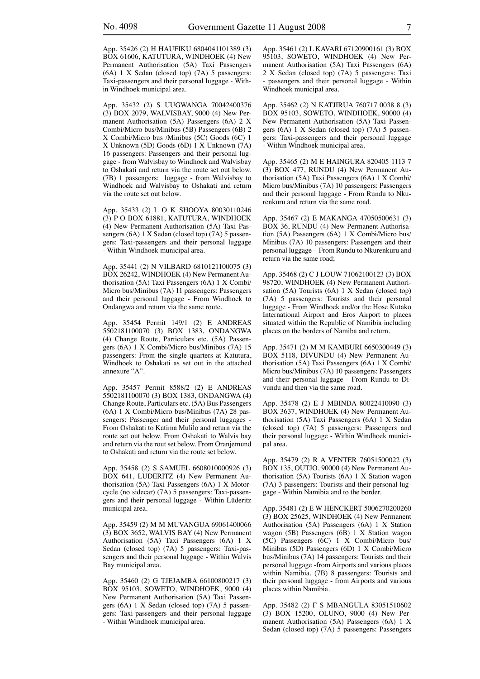App. 35426 (2) H HAUFIKU 6804041101389 (3) BOX 61606, KATUTURA, WINDHOEK (4) New Permanent Authorisation (5A) Taxi Passengers (6A) 1 X Sedan (closed top) (7A) 5 passengers: Taxi-passengers and their personal luggage - Within Windhoek municipal area.

App. 35432 (2) S UUGWANGA 70042400376 (3) BOX 2079, WALVISBAY, 9000 (4) New Permanent Authorisation (5A) Passengers (6A) 2 X Combi/Micro bus/Minibus (5B) Passengers (6B) 2 X Combi/Micro bus /Minibus (5C) Goods (6C) 1 X Unknown (5D) Goods (6D) 1 X Unknown (7A) 16 passengers: Passengers and their personal luggage - from Walvisbay to Windhoek and Walvisbay to Oshakati and return via the route set out below. (7B) 1 passengers: luggage - from Walvisbay to Windhoek and Walvisbay to Oshakati and return via the route set out below.

App. 35433 (2) L O K SHOOYA 80030110246 (3) P O BOX 61881, KATUTURA, WINDHOEK (4) New Permanent Authorisation (5A) Taxi Passengers (6A) 1 X Sedan (closed top) (7A) 5 passengers: Taxi-passengers and their personal luggage - Within Windhoek municipal area.

App. 35441 (2) N VILBARD 6810121100075 (3) BOX 26242, WINDHOEK (4) New Permanent Authorisation (5A) Taxi Passengers (6A) 1 X Combi/ Micro bus/Minibus (7A) 11 passengers: Passengers and their personal luggage - From Windhoek to Ondangwa and return via the same route.

App. 35454 Permit 149/1 (2) E ANDREAS 5502181100070 (3) BOX 1383, ONDANGWA (4) Change Route, Particulars etc. (5A) Passengers (6A) 1 X Combi/Micro bus/Minibus (7A) 15 passengers: From the single quarters at Katutura, Windhoek to Oshakati as set out in the attached annexure "A".

App. 35457 Permit 8588/2 (2) E ANDREAS 5502181100070 (3) BOX 1383, ONDANGWA (4) Change Route, Particulars etc. (5A) Bus Passengers (6A) 1 X Combi/Micro bus/Minibus (7A) 28 passengers: Passenger and their personal luggages - From Oshakati to Katima Mulilo and return via the route set out below. From Oshakati to Walvis bay and return via the rout set below. From Oranjemund to Oshakati and return via the route set below.

App. 35458 (2) S SAMUEL 6608010000926 (3) BOX 641, LUDERITZ (4) New Permanent Authorisation (5A) Taxi Passengers (6A) 1 X Motorcycle (no sidecar) (7A) 5 passengers: Taxi-passengers and their personal luggage - Within Lüderitz municipal area.

App. 35459 (2) M M MUVANGUA 69061400066 (3) BOX 3652, WALVIS BAY (4) New Permanent Authorisation (5A) Taxi Passengers (6A) 1 X Sedan (closed top) (7A) 5 passengers: Taxi-passengers and their personal luggage - Within Walvis Bay municipal area.

App. 35460 (2) G TJEJAMBA 66100800217 (3) BOX 95103, SOWETO, WINDHOEK, 9000 (4) New Permanent Authorisation (5A) Taxi Passengers (6A) 1 X Sedan (closed top) (7A) 5 passengers: Taxi-passengers and their personal luggage - Within Windhoek municipal area.

App. 35461 (2) L KAVARI 67120900161 (3) BOX 95103, SOWETO, WINDHOEK (4) New Permanent Authorisation (5A) Taxi Passengers (6A) 2 X Sedan (closed top) (7A) 5 passengers: Taxi passengers and their personal luggage - Within Windhoek municipal area.

App. 35462 (2) N KATJIRUA 760717 0038 8 (3) BOX 95103, SOWETO, WINDHOEK, 90000 (4) New Permanent Authorisation (5A) Taxi Passengers (6A) 1 X Sedan (closed top) (7A) 5 passengers: Taxi-passengers and their personal luggage - Within Windhoek municipal area.

App. 35465 (2) M E HAINGURA 820405 1113 7 (3) BOX 477, RUNDU (4) New Permanent Authorisation (5A) Taxi Passengers (6A) 1 X Combi/ Micro bus/Minibus (7A) 10 passengers: Passengers and their personal luggage - From Rundu to Nkurenkuru and return via the same road.

App. 35467 (2) E MAKANGA 47050500631 (3) BOX 36, RUNDU (4) New Permanent Authorisation (5A) Passengers (6A) 1 X Combi/Micro bus/ Minibus (7A) 10 passengers: Passengers and their personal luggage - From Rundu to Nkurenkuru and return via the same road;

App. 35468 (2) C J LOUW 71062100123 (3) BOX 98720, WINDHOEK (4) New Permanent Authorisation (5A) Tourists (6A) 1 X Sedan (closed top) (7A) 5 passengers: Tourists and their personal luggage - From Windhoek and/or the Hose Kutako International Airport and Eros Airport to places situated within the Republic of Namibia including places on the borders of Namiba and return.

App. 35471 (2) M M KAMBURI 6650300449 (3) BOX 5118, DIVUNDU (4) New Permanent Authorisation (5A) Taxi Passengers (6A) 1 X Combi/ Micro bus/Minibus (7A) 10 passengers: Passengers and their personal luggage - From Rundu to Divundu and then via the same road.

App. 35478 (2) E J MBINDA 80022410090 (3) BOX 3637, WINDHOEK (4) New Permanent Authorisation (5A) Taxi Passengers (6A) 1 X Sedan (closed top) (7A) 5 passengers: Passengers and their personal luggage - Within Windhoek municipal area.

App. 35479 (2) R A VENTER 76051500022 (3) BOX 135, OUTJO, 90000 (4) New Permanent Authorisation (5A) Tourists (6A) 1 X Station wagon (7A) 3 passengers: Tourists and their personal luggage - Within Namibia and to the border.

App. 35481 (2) E W HENCKERT 5006270200260 (3) BOX 25625, WINDHOEK (4) New Permanent Authorisation (5A) Passengers (6A) 1 X Station wagon (5B) Passengers (6B) 1 X Station wagon (5C) Passengers (6C) 1 X Combi/Micro bus/ Minibus (5D) Passengers (6D) 1 X Combi/Micro bus/Minibus (7A) 14 passengers: Tourists and their personal luggage -from Airports and various places within Namibia. (7B) 8 passengers: Tourists and their personal luggage - from Airports and various places within Namibia.

App. 35482 (2) F S MBANGULA 83051510602 (3) BOX 15200, OLUNO, 9000 (4) New Permanent Authorisation (5A) Passengers (6A) 1 X Sedan (closed top) (7A) 5 passengers: Passengers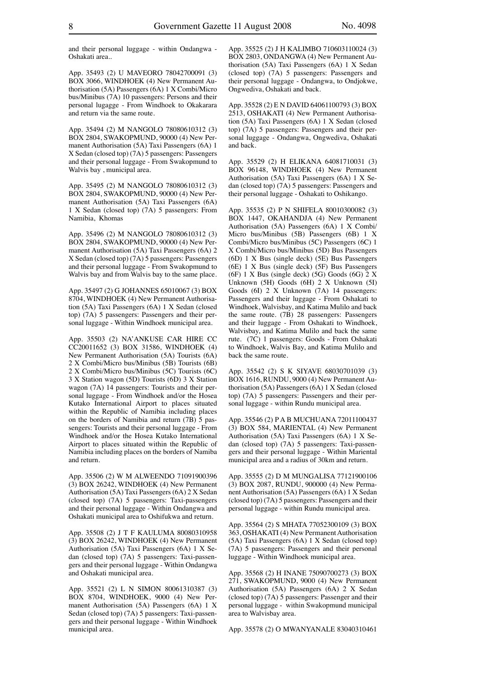and their personal luggage - within Ondangwa - Oshakati area..

App. 35493 (2) U MAVEORO 78042700091 (3) BOX 3066, WINDHOEK (4) New Permanent Authorisation (5A) Passengers (6A) 1 X Combi/Micro bus/Minibus (7A) 10 passengers: Persons and their personal lugagge - From Windhoek to Okakarara and return via the same route.

App. 35494 (2) M NANGOLO 78080610312 (3) BOX 2804, SWAKOPMUND, 90000 (4) New Permanent Authorisation (5A) Taxi Passengers (6A) 1 X Sedan (closed top) (7A) 5 passengers: Passengers and their personal luggage - From Swakopmund to Walvis bay , municipal area.

App. 35495 (2) M NANGOLO 78080610312 (3) BOX 2804, SWAKOPMUND, 90000 (4) New Permanent Authorisation (5A) Taxi Passengers (6A) 1 X Sedan (closed top) (7A) 5 passengers: From Namibia, Khomas

App. 35496 (2) M NANGOLO 78080610312 (3) BOX 2804, SWAKOPMUND, 90000 (4) New Permanent Authorisation (5A) Taxi Passengers (6A) 2 X Sedan (closed top) (7A) 5 passengers: Passengers and their personal luggage - From Swakopmund to Walvis bay and from Walvis bay to the same place.

App. 35497 (2) G JOHANNES 65010067 (3) BOX 8704, WINDHOEK (4) New Permanent Authorisation (5A) Taxi Passengers (6A) 1 X Sedan (closed top) (7A) 5 passengers: Passengers and their personal luggage - Within Windhoek municipal area.

App. 35503 (2) NA'ANKUSE CAR HIRE CC CC20011652 (3) BOX 31586, WINDHOEK (4) New Permanent Authorisation (5A) Tourists (6A) 2 X Combi/Micro bus/Minibus (5B) Tourists (6B) 2 X Combi/Micro bus/Minibus (5C) Tourists (6C) 3 X Station wagon (5D) Tourists (6D) 3 X Station wagon (7A) 14 passengers: Tourists and their personal luggage - From Windhoek and/or the Hosea Kutako International Airport to places situated within the Republic of Namibia including places on the borders of Namibia and return (7B) 5 passengers: Tourists and their personal luggage - From Windhoek and/or the Hosea Kutako International Airport to places situated within the Republic of Namibia including places on the borders of Namiba and return.

App. 35506 (2) W M ALWEENDO 71091900396 (3) BOX 26242, WINDHOEK (4) New Permanent Authorisation (5A) Taxi Passengers (6A) 2 X Sedan (closed top) (7A) 5 passengers: Taxi-passengers and their personal luggage - Within Ondangwa and Oshakati municipal area to Oshifukwa and return.

App. 35508 (2) J T F KAULUMA 80080310958 (3) BOX 26242, WINDHOEK (4) New Permanent Authorisation (5A) Taxi Passengers (6A) 1 X Sedan (closed top) (7A) 5 passengers: Taxi-passengers and their personal luggage - Within Ondangwa and Oshakati municipal area.

App. 35521 (2) L N SIMON 80061310387 (3) BOX 8704, WINDHOEK, 9000 (4) New Permanent Authorisation (5A) Passengers (6A) 1 X Sedan (closed top) (7A) 5 passengers: Taxi-passengers and their personal luggage - Within Windhoek municipal area.

App. 35525 (2) J H KALIMBO 710603110024 (3) BOX 2803, ONDANGWA (4) New Permanent Authorisation (5A) Taxi Passengers (6A) 1 X Sedan (closed top) (7A) 5 passengers: Passengers and their personal luggage - Ondangwa, to Ondjokwe, Ongwediva, Oshakati and back.

App. 35528 (2) E N DAVID 64061100793 (3) BOX 2513, OSHAKATI (4) New Permanent Authorisation (5A) Taxi Passengers (6A) 1 X Sedan (closed top) (7A) 5 passengers: Passengers and their personal luggage - Ondangwa, Ongwediva, Oshakati and back.

App. 35529 (2) H ELIKANA 64081710031 (3) BOX 96148, WINDHOEK (4) New Permanent Authorisation (5A) Taxi Passengers (6A) 1 X Sedan (closed top) (7A) 5 passengers: Passengers and their personal luggage - Oshakati to Oshikango.

App. 35535 (2) P N SHIFELA 80010300082 (3) BOX 1447, OKAHANDJA (4) New Permanent Authorisation (5A) Passengers (6A) 1 X Combi/ Micro bus/Minibus (5B) Passengers (6B) 1 X Combi/Micro bus/Minibus (5C) Passengers (6C) 1 X Combi/Micro bus/Minibus (5D) Bus Passengers (6D) 1 X Bus (single deck) (5E) Bus Passengers (6E) 1 X Bus (single deck) (5F) Bus Passengers (6F) 1 X Bus (single deck) (5G) Goods (6G)  $2 X$ Unknown (5H) Goods (6H) 2 X Unknown (5I) Goods (6I) 2 X Unknown (7A) 14 passengers: Passengers and their luggage - From Oshakati to Windhoek, Walvisbay, and Katima Mulilo and back the same route. (7B) 28 passengers: Passengers and their luggage - From Oshakati to Windhoek, Walvisbay, and Katima Mulilo and back the same rute. (7C) 1 passengers: Goods - From Oshakati to Windhoek, Walvis Bay, and Katima Mulilo and back the same route.

App. 35542 (2) S K SIYAVE 68030701039 (3) BOX 1616, RUNDU, 9000 (4) New Permanent Authorisation (5A) Passengers (6A) 1 X Sedan (closed top) (7A) 5 passengers: Passengers and their personal luggage - within Rundu municipal area.

App. 35546 (2) P A B MUCHUANA 72011100437 (3) BOX 584, MARIENTAL (4) New Permanent Authorisation (5A) Taxi Passengers (6A) 1 X Sedan (closed top) (7A) 5 passengers: Taxi-passengers and their personal luggage - Within Mariental municipal area and a radius of 30km and return.

App. 35555 (2) D M MUNGALISA 77121900106 (3) BOX 2087, RUNDU, 900000 (4) New Permanent Authorisation (5A) Passengers (6A) 1 X Sedan (closed top) (7A) 5 passengers: Passengers and their personal luggage - within Rundu municipal area.

App. 35564 (2) S MHATA 77052300109 (3) BOX 363, OSHAKATI (4) New Permanent Authorisation (5A) Taxi Passengers (6A) 1 X Sedan (closed top) (7A) 5 passengers: Passengers and their personal luggage - Within Windhoek municipal area.

App. 35568 (2) H INANE 75090700273 (3) BOX 271, SWAKOPMUND, 9000 (4) New Permanent Authorisation (5A) Passengers (6A) 2 X Sedan (closed top) (7A) 5 passengers: Passenger and their personal luggage - within Swakopmund municipal area to Walvisbay area.

App. 35578 (2) O MWANYANALE 83040310461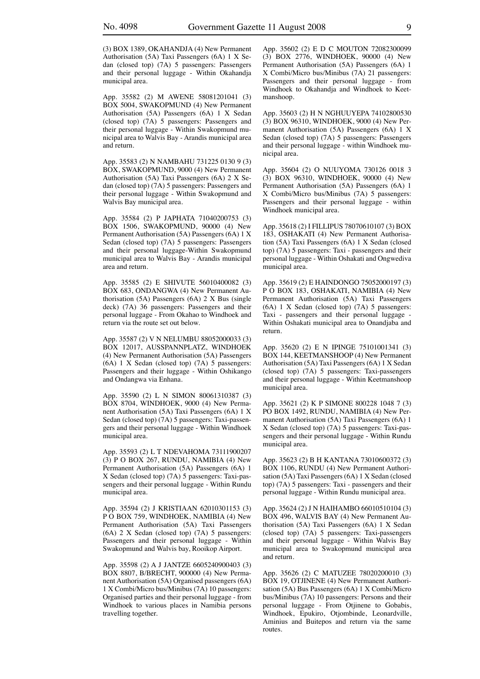(3) BOX 1389, OKAHANDJA (4) New Permanent Authorisation (5A) Taxi Passengers (6A) 1 X Sedan (closed top) (7A) 5 passengers: Passengers and their personal luggage - Within Okahandja municipal area.

App. 35582 (2) M AWENE 58081201041 (3) BOX 5004, SWAKOPMUND (4) New Permanent Authorisation (5A) Passengers (6A) 1 X Sedan (closed top) (7A) 5 passengers: Passengers and their personal luggage - Within Swakopmund municipal area to Walvis Bay - Arandis municipal area and return.

App. 35583 (2) N NAMBAHU 731225 0130 9 (3) BOX, SWAKOPMUND, 9000 (4) New Permanent Authorisation (5A) Taxi Passengers (6A) 2 X Sedan (closed top) (7A) 5 passengers: Passengers and their personal luggage - Within Swakopmund and Walvis Bay municipal area.

App. 35584 (2) P JAPHATA 71040200753 (3) BOX 1506, SWAKOPMUND, 90000 (4) New Permanent Authorisation (5A) Passengers (6A) 1 X Sedan (closed top) (7A) 5 passengers: Passengers and their personal luggage-Within Swakopmund municipal area to Walvis Bay - Arandis municipal area and return.

App. 35585 (2) E SHIVUTE 56010400082 (3) BOX 683, ONDANGWA (4) New Permanent Authorisation (5A) Passengers (6A) 2 X Bus (single deck) (7A) 36 passengers: Passengers and their personal luggage - From Okahao to Windhoek and return via the route set out below.

App. 35587 (2) V N NELUMBU 88052000033 (3) BOX 12017, AUSSPANNPLATZ, WINDHOEK (4) New Permanent Authorisation (5A) Passengers (6A) 1 X Sedan (closed top) (7A) 5 passengers: Passengers and their luggage - Within Oshikango and Ondangwa via Enhana.

App. 35590 (2) L N SIMON 80061310387 (3) BOX 8704, WINDHOEK, 9000 (4) New Permanent Authorisation (5A) Taxi Passengers (6A) 1 X Sedan (closed top) (7A) 5 passengers: Taxi-passengers and their personal luggage - Within Windhoek municipal area.

App. 35593 (2) L T NDEVAHOMA 73111900207 (3) P O BOX 267, RUNDU, NAMIBIA (4) New Permanent Authorisation (5A) Passengers (6A) 1 X Sedan (closed top) (7A) 5 passengers: Taxi-passengers and their personal luggage - Within Rundu municipal area.

App. 35594 (2) J KRISTIAAN 62010301153 (3) P O BOX 759, WINDHOEK, NAMIBIA (4) New Permanent Authorisation (5A) Taxi Passengers (6A) 2 X Sedan (closed top) (7A) 5 passengers: Passengers and their personal luggage - Within Swakopmund and Walvis bay, Rooikop Airport.

App. 35598 (2) A J JANTZE 6605240900403 (3) BOX 8807, B/BRECHT, 900000 (4) New Permanent Authorisation (5A) Organised passengers (6A) 1 X Combi/Micro bus/Minibus (7A) 10 passengers: Organised parties and their personal luggage - from Windhoek to various places in Namibia persons travelling together.

App. 35602 (2) E D C MOUTON 72082300099 (3) BOX 2776, WINDHOEK, 90000 (4) New Permanent Authorisation (5A) Passengers (6A) 1 X Combi/Micro bus/Minibus (7A) 21 passengers: Passengers and their personal luggage - from Windhoek to Okahandja and Windhoek to Keetmanshoop.

App. 35603 (2) H N NGHUUYEPA 74102800530 (3) BOX 96310, WINDHOEK, 9000 (4) New Permanent Authorisation (5A) Passengers (6A) 1 X Sedan (closed top) (7A) 5 passengers: Passengers and their personal luggage - within Windhoek municipal area.

App. 35604 (2) O NUUYOMA 730126 0018 3 (3) BOX 96310, WINDHOEK, 90000 (4) New Permanent Authorisation (5A) Passengers (6A) 1 X Combi/Micro bus/Minibus (7A) 5 passengers: Passengers and their personal luggage - within Windhoek municipal area.

App. 35618 (2) I FILLIPUS 78070610107 (3) BOX 183, OSHAKATI (4) New Permanent Authorisation (5A) Taxi Passengers (6A) 1 X Sedan (closed top) (7A) 5 passengers: Taxi - passengers and their personal luggage - Within Oshakati and Ongwediva municipal area.

App. 35619 (2) E HAINDONGO 75052000197 (3) P O BOX 183, OSHAKATI, NAMIBIA (4) New Permanent Authorisation (5A) Taxi Passengers (6A) 1 X Sedan (closed top) (7A) 5 passengers: Taxi - passengers and their personal luggage -Within Oshakati municipal area to Onandjaba and return.

App. 35620 (2) E N IPINGE 75101001341 (3) BOX 144, KEETMANSHOOP (4) New Permanent Authorisation (5A) Taxi Passengers (6A) 1 X Sedan (closed top) (7A) 5 passengers: Taxi-passengers and their personal luggage - Within Keetmanshoop municipal area.

App. 35621 (2) K P SIMONE 800228 1048 7 (3) PO BOX 1492, RUNDU, NAMIBIA (4) New Permanent Authorisation (5A) Taxi Passengers (6A) 1 X Sedan (closed top) (7A) 5 passengers: Taxi-passengers and their personal luggage - Within Rundu municipal area.

App. 35623 (2) B H KANTANA 73010600372 (3) BOX 1106, RUNDU (4) New Permanent Authorisation (5A) Taxi Passengers (6A) 1 X Sedan (closed top) (7A) 5 passengers: Taxi - passengers and their personal luggage - Within Rundu municipal area.

App. 35624 (2) J N HAIHAMBO 66010510104 (3) BOX 496, WALVIS BAY (4) New Permanent Authorisation (5A) Taxi Passengers (6A) 1 X Sedan (closed top) (7A) 5 passengers: Taxi-passengers and their personal luggage - Within Walvis Bay municipal area to Swakopmund municipal area and return.

App. 35626 (2) C MATUZEE 78020200010 (3) BOX 19, OTJINENE (4) New Permanent Authorisation (5A) Bus Passengers (6A) 1 X Combi/Micro bus/Minibus (7A) 10 passengers: Persons and their personal luggage - From Otjinene to Gobabis, Windhoek, Epukiro, Otjombinde, Leonardville, Aminius and Buitepos and return via the same routes.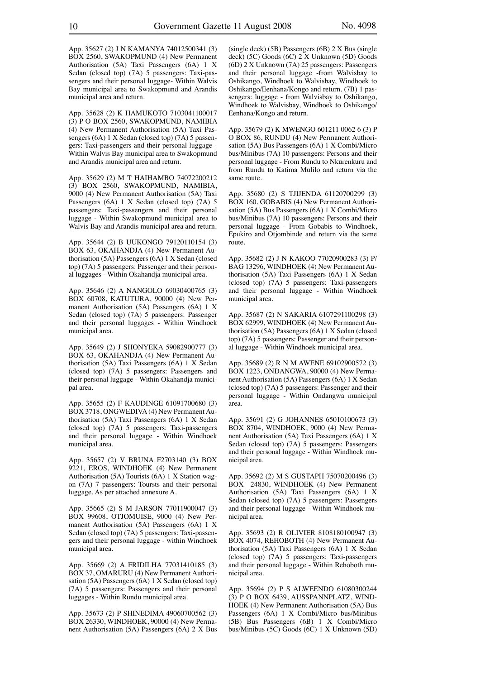App. 35627 (2) J N KAMANYA 74012500341 (3) BOX 2560, SWAKOPMUND (4) New Permanent Authorisation (5A) Taxi Passengers (6A) 1 X Sedan (closed top) (7A) 5 passengers: Taxi-passengers and their personal luggage- Within Walvis Bay municipal area to Swakopmund and Arandis municipal area and return.

App. 35628 (2) K HAMUKOTO 7103041100017 (3) P O BOX 2560, SWAKOPMUND, NAMIBIA (4) New Permanent Authorisation (5A) Taxi Passengers (6A) 1 X Sedan (closed top) (7A) 5 passengers: Taxi-passengers and their personal luggage - Within Walvis Bay municipal area to Swakopmund and Arandis municipal area and return.

App. 35629 (2) M T HAIHAMBO 74072200212 (3) BOX 2560, SWAKOPMUND, NAMIBIA, 9000 (4) New Permanent Authorisation (5A) Taxi Passengers (6A) 1 X Sedan (closed top) (7A) 5 passengers: Taxi-passengers and their personal luggage - Within Swakopmund municipal area to Walvis Bay and Arandis municipal area and return.

App. 35644 (2) B UUKONGO 79120110154 (3) BOX 63, OKAHANDJA (4) New Permanent Authorisation (5A) Passengers (6A) 1 X Sedan (closed top) (7A) 5 passengers: Passenger and their personal luggages - Within Okahandja municipal area.

App. 35646 (2) A NANGOLO 69030400765 (3) BOX 60708, KATUTURA, 90000 (4) New Permanent Authorisation (5A) Passengers (6A) 1 X Sedan (closed top) (7A) 5 passengers: Passenger and their personal luggages - Within Windhoek municipal area.

App. 35649 (2) J SHONYEKA 59082900777 (3) BOX 63, OKAHANDJA (4) New Permanent Authorisation (5A) Taxi Passengers (6A) 1 X Sedan (closed top) (7A) 5 passengers: Passengers and their personal luggage - Within Okahandja municipal area.

App. 35655 (2) F KAUDINGE 61091700680 (3) BOX 3718, ONGWEDIVA (4) New Permanent Authorisation (5A) Taxi Passengers (6A) 1 X Sedan (closed top) (7A) 5 passengers: Taxi-passengers and their personal luggage - Within Windhoek municipal area.

App. 35657 (2) V BRUNA F2703140 (3) BOX 9221, EROS, WINDHOEK (4) New Permanent Authorisation (5A) Tourists (6A) 1 X Station wagon (7A) 7 passengers: Toursts and their personal luggage. As per attached annexure A.

App. 35665 (2) S M JARSON 77011900047 (3) BOX 99608, OTJOMUISE, 9000 (4) New Permanent Authorisation (5A) Passengers (6A) 1 X Sedan (closed top) (7A) 5 passengers: Taxi-passengers and their personal luggage - within Windhoek municipal area.

App. 35669 (2) A FRIDILHA 77031410185 (3) BOX 37, OMARURU (4) New Permanent Authorisation (5A) Passengers (6A) 1 X Sedan (closed top) (7A) 5 passengers: Passengers and their personal luggages - Within Rundu municipal area.

App. 35673 (2) P SHINEDIMA 49060700562 (3) BOX 26330, WINDHOEK, 90000 (4) New Permanent Authorisation (5A) Passengers (6A) 2 X Bus (single deck) (5B) Passengers (6B) 2 X Bus (single deck) (5C) Goods (6C) 2 X Unknown (5D) Goods (6D) 2 X Unknown (7A) 25 passengers: Passengers and their personal luggage -from Walvisbay to Oshikango, Windhoek to Walvisbay, Windhoek to Oshikango/Eenhana/Kongo and return. (7B) 1 passengers: luggage - from Walvisbay to Oshikango, Windhoek to Walvisbay, Windhoek to Oshikango/ Eenhana/Kongo and return.

App. 35679 (2) K MWENGO 601211 0062 6 (3) P O BOX 86, RUNDU (4) New Permanent Authorisation (5A) Bus Passengers (6A) 1 X Combi/Micro bus/Minibus (7A) 10 passengers: Persons and their personal luggage - From Rundu to Nkurenkuru and from Rundu to Katima Mulilo and return via the same route.

App. 35680 (2) S TJIJENDA 61120700299 (3) BOX 160, GOBABIS (4) New Permanent Authorisation (5A) Bus Passengers (6A) 1 X Combi/Micro bus/Minibus (7A) 10 passengers: Persons and their personal luggage - From Gobabis to Windhoek, Epukiro and Otjombinde and return via the same route.

App. 35682 (2) J N KAKOO 77020900283 (3) P/ BAG 13296, WINDHOEK (4) New Permanent Authorisation (5A) Taxi Passengers (6A) 1 X Sedan (closed top) (7A) 5 passengers: Taxi-passengers and their personal luggage - Within Windhoek municipal area.

App. 35687 (2) N SAKARIA 6107291100298 (3) BOX 62999, WINDHOEK (4) New Permanent Authorisation (5A) Passengers (6A) 1 X Sedan (closed top) (7A) 5 passengers: Passenger and their personal luggage - Within Windhoek municipal area.

App. 35689 (2) R N M AWENE 69102900572 (3) BOX 1223, ONDANGWA, 90000 (4) New Permanent Authorisation (5A) Passengers (6A) 1 X Sedan (closed top) (7A) 5 passengers: Passenger and their personal luggage - Within Ondangwa municipal area.

App. 35691 (2) G JOHANNES 65010100673 (3) BOX 8704, WINDHOEK, 9000 (4) New Permanent Authorisation (5A) Taxi Passengers (6A) 1 X Sedan (closed top) (7A) 5 passengers: Passengers and their personal luggage - Within Windhoek municipal area.

App. 35692 (2) M S GUSTAPH 75070200496 (3) BOX 24830, WINDHOEK (4) New Permanent Authorisation (5A) Taxi Passengers (6A) 1 X Sedan (closed top) (7A) 5 passengers: Passengers and their personal luggage - Within Windhoek municipal area.

App. 35693 (2) R OLIVIER 8108180100947 (3) BOX 4074, REHOBOTH (4) New Permanent Authorisation (5A) Taxi Passengers (6A) 1 X Sedan (closed top) (7A) 5 passengers: Taxi-passengers and their personal luggage - Within Rehoboth municipal area.

App. 35694 (2) P S ALWEENDO 61080300244 (3) P O BOX 6439, AUSSPANNPLATZ, WIND-HOEK (4) New Permanent Authorisation (5A) Bus Passengers (6A) 1 X Combi/Micro bus/Minibus (5B) Bus Passengers (6B) 1 X Combi/Micro bus/Minibus (5C) Goods (6C) 1 X Unknown (5D)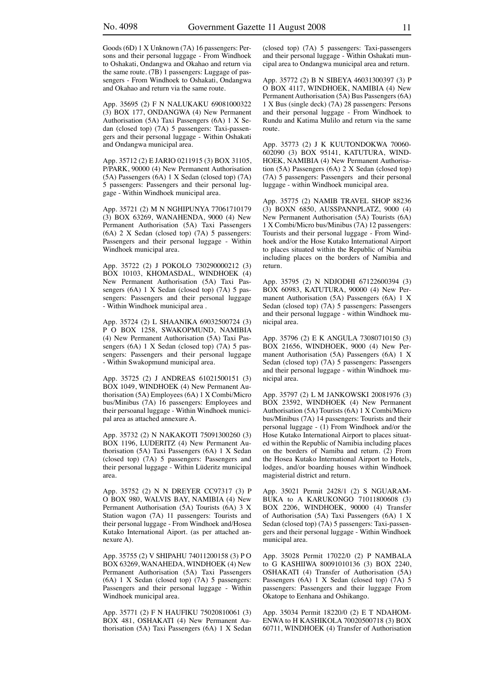Goods (6D) 1 X Unknown (7A) 16 passengers: Persons and their personal luggage - From Windhoek to Oshakati, Ondangwa and Okahao and return via the same route. (7B) 1 passengers: Luggage of passengers - From Windhoek to Oshakati, Ondangwa and Okahao and return via the same route.

App. 35695 (2) F N NALUKAKU 69081000322 (3) BOX 177, ONDANGWA (4) New Permanent Authorisation (5A) Taxi Passengers (6A) 1 X Sedan (closed top) (7A) 5 passengers: Taxi-passengers and their personal luggage - Within Oshakati and Ondangwa municipal area.

App. 35712 (2) E JARIO 0211915 (3) BOX 31105, P/PARK, 90000 (4) New Permanent Authorisation (5A) Passengers (6A) 1 X Sedan (closed top) (7A) 5 passengers: Passengers and their personal luggage - Within Windhoek municipal area.

App. 35721 (2) M N NGHIPUNYA 77061710179 (3) BOX 63269, WANAHENDA, 9000 (4) New Permanent Authorisation (5A) Taxi Passengers (6A) 2 X Sedan (closed top) (7A) 5 passengers: Passengers and their personal luggage - Within Windhoek municipal area.

App. 35722 (2) J POKOLO 730290000212 (3) BOX 10103, KHOMASDAL, WINDHOEK (4) New Permanent Authorisation (5A) Taxi Passengers (6A) 1 X Sedan (closed top) (7A) 5 passengers: Passengers and their personal luggage - Within Windhoek municipal area .

App. 35724 (2) L SHAANIKA 69032500724 (3) P O BOX 1258, SWAKOPMUND, NAMIBIA (4) New Permanent Authorisation (5A) Taxi Passengers (6A) 1 X Sedan (closed top) (7A) 5 passengers: Passengers and their personal luggage - Within Swakopmund municipal area.

App. 35725 (2) J ANDREAS 61021500151 (3) BOX 1049, WINDHOEK (4) New Permanent Authorisation (5A) Employees (6A) 1 X Combi/Micro bus/Minibus (7A) 16 passengers: Employees and their persoanal luggage - Within Windhoek municipal area as attached annexure A.

App. 35732 (2) N NAKAKOTI 75091300260 (3) BOX 1196, LUDERITZ (4) New Permanent Authorisation (5A) Taxi Passengers (6A) 1 X Sedan (closed top) (7A) 5 passengers: Passengers and their personal luggage - Within Lüderitz municipal area.

App. 35752 (2) N N DREYER CC97317 (3) P O BOX 980, WALVIS BAY, NAMIBIA (4) New Permanent Authorisation (5A) Tourists (6A) 3 X Station wagon (7A) 11 passengers: Tourists and their personal luggage - From Windhoek and/Hosea Kutako International Aiport. (as per attached annexure A).

App. 35755 (2) V SHIPAHU 74011200158 (3) P O BOX 63269, WANAHEDA, WINDHOEK (4) New Permanent Authorisation (5A) Taxi Passengers (6A) 1 X Sedan (closed top) (7A) 5 passengers: Passengers and their personal luggage - Within Windhoek municipal area.

App. 35771 (2) F N HAUFIKU 75020810061 (3) BOX 481, OSHAKATI (4) New Permanent Authorisation (5A) Taxi Passengers (6A) 1 X Sedan (closed top) (7A) 5 passengers: Taxi-passengers and their personal luggage - Within Oshakati muncipal area to Ondangwa municipal area and return.

App. 35772 (2) B N SIBEYA 46031300397 (3) P O BOX 4117, WINDHOEK, NAMIBIA (4) New Permanent Authorisation (5A) Bus Passengers (6A) 1 X Bus (single deck) (7A) 28 passengers: Persons and their personal luggage - From Windhoek to Rundu and Katima Mulilo and return via the same route.

App. 35773 (2) J K KUUTONDOKWA 70060- 602090 (3) BOX 95141, KATUTURA, WIND-HOEK, NAMIBIA (4) New Permanent Authorisation (5A) Passengers (6A) 2 X Sedan (closed top) (7A) 5 passengers: Passengers and their personal luggage - within Windhoek municipal area.

App. 35775 (2) NAMIB TRAVEL SHOP 88236 (3) BOXN 6850, AUSSPANNPLATZ, 9000 (4) New Permanent Authorisation (5A) Tourists (6A) 1 X Combi/Micro bus/Minibus (7A) 12 passengers: Tourists and their personal luggage - From Windhoek and/or the Hose Kutako International Airport to places situated within the Republic of Namibia including places on the borders of Namibia and return.

App. 35795 (2) N NDJODHI 67122600394 (3) BOX 60983, KATUTURA, 90000 (4) New Permanent Authorisation (5A) Passengers (6A) 1 X Sedan (closed top) (7A) 5 passengers: Passengers and their personal luggage - within Windhoek municipal area.

App. 35796 (2) E K ANGULA 73080710150 (3) BOX 21656, WINDHOEK, 9000 (4) New Permanent Authorisation (5A) Passengers (6A) 1 X Sedan (closed top) (7A) 5 passengers: Passengers and their personal luggage - within Windhoek municipal area.

App. 35797 (2) L M JANKOWSKI 20081976 (3) BOX 23592, WINDHOEK (4) New Permanent Authorisation (5A) Tourists (6A) 1 X Combi/Micro bus/Minibus (7A) 14 passengers: Tourists and their personal luggage - (1) From Windhoek and/or the Hose Kutako International Airport to places situated within the Republic of Namibia including places on the borders of Namiba and return. (2) From the Hosea Kutako International Airport to Hotels, lodges, and/or boarding houses within Windhoek magisterial district and return.

App. 35021 Permit 2428/1 (2) S NGUARAM-BUKA to A KARUKONGO 71011800608 (3) BOX 2206, WINDHOEK, 90000 (4) Transfer of Authorisation (5A) Taxi Passengers (6A) 1 X Sedan (closed top) (7A) 5 passengers: Taxi-passengers and their personal luggage - Within Windhoek municipal area.

App. 35028 Permit 17022/0 (2) P NAMBALA to G KASHIIWA 80091010136 (3) BOX 2240, OSHAKATI (4) Transfer of Authorisation (5A) Passengers (6A) 1 X Sedan (closed top) (7A) 5 passengers: Passengers and their luggage From Okatope to Eenhana and Oshikango.

App. 35034 Permit 18220/0 (2) E T NDAHOM-ENWA to H KASHIKOLA 70020500718 (3) BOX 60711, WINDHOEK (4) Transfer of Authorisation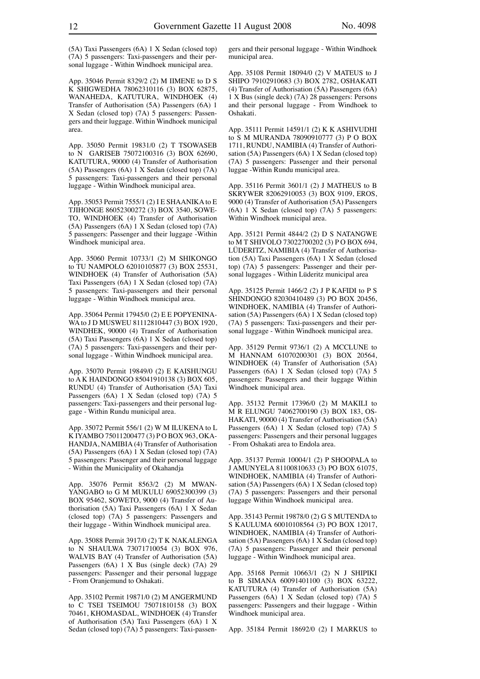(5A) Taxi Passengers (6A) 1 X Sedan (closed top) (7A) 5 passengers: Taxi-passengers and their personal luggage - Within Windhoek municipal area.

App. 35046 Permit 8329/2 (2) M IIMENE to D S K SHIGWEDHA 78062310116 (3) BOX 62875, WANAHEDA, KATUTURA, WINDHOEK (4) Transfer of Authorisation (5A) Passengers (6A) 1 X Sedan (closed top) (7A) 5 passengers: Passengers and their luggage. Within Windhoek municipal area.

App. 35050 Permit 19831/0 (2) T TSOWASEB to N GARISEB 75072100316 (3) BOX 62690, KATUTURA, 90000 (4) Transfer of Authorisation (5A) Passengers (6A) 1 X Sedan (closed top) (7A) 5 passengers: Taxi-passengers and their personal luggage - Within Windhoek municipal area.

App. 35053 Permit 7555/1 (2) I E SHAANIKA to E TJIHONGE 86052300272 (3) BOX 3540, SOWE-TO, WINDHOEK (4) Transfer of Authorisation (5A) Passengers (6A) 1 X Sedan (closed top) (7A) 5 passengers: Passenger and their luggage -Within Windhoek municipal area.

App. 35060 Permit 10733/1 (2) M SHIKONGO to TU NAMPOLO 62010105877 (3) BOX 25531, WINDHOEK (4) Transfer of Authorisation (5A) Taxi Passengers (6A) 1 X Sedan (closed top) (7A) 5 passengers: Taxi-passengers and their personal luggage - Within Windhoek municipal area.

App. 35064 Permit 17945/0 (2) E E POPYENINA-WA to J D MUSWEU 81112810447 (3) BOX 1920, WINDHEK, 90000 (4) Transfer of Authorisation (5A) Taxi Passengers (6A) 1 X Sedan (closed top) (7A) 5 passengers: Taxi-passengers and their personal luggage - Within Windhoek municipal area.

App. 35070 Permit 19849/0 (2) E KAISHUNGU to A K HAINDONGO 85041910138 (3) BOX 605, RUNDU (4) Transfer of Authorisation (5A) Taxi Passengers (6A) 1 X Sedan (closed top) (7A) 5 passengers: Taxi-passengers and their personal luggage - Within Rundu municipal area.

App. 35072 Permit 556/1 (2) W M ILUKENA to L K IYAMBO 75011200477 (3) P O BOX 963, OKA-HANDJA, NAMIBIA (4) Transfer of Authorisation (5A) Passengers (6A) 1 X Sedan (closed top) (7A) 5 passengers: Passenger and their personal luggage - Within the Municipality of Okahandja

App. 35076 Permit 8563/2 (2) M MWAN-YANGABO to G M MUKULU 69052300399 (3) BOX 95462, SOWETO, 9000 (4) Transfer of Authorisation (5A) Taxi Passengers (6A) 1 X Sedan (closed top) (7A) 5 passengers: Passengers and their luggage - Within Windhoek municipal area.

App. 35088 Permit 3917/0 (2) T K NAKALENGA to N SHAULWA 73071710054 (3) BOX 976, WALVIS BAY (4) Transfer of Authorisation (5A) Passengers (6A) 1 X Bus (single deck) (7A) 29 passengers: Passenger and their personal luggage - From Oranjemund to Oshakati.

App. 35102 Permit 19871/0 (2) M ANGERMUND to C TSEI TSEIMOU 75071810158 (3) BOX 70461, KHOMASDAL, WINDHOEK (4) Transfer of Authorisation (5A) Taxi Passengers (6A) 1 X Sedan (closed top) (7A) 5 passengers: Taxi-passengers and their personal luggage - Within Windhoek municipal area.

App. 35108 Permit 18094/0 (2) V MATEUS to J SHIPO 79102910683 (3) BOX 2782, OSHAKATI (4) Transfer of Authorisation (5A) Passengers (6A) 1 X Bus (single deck) (7A) 28 passengers: Persons and their personal luggage - From Windhoek to Oshakati.

App. 35111 Permit 14591/1 (2) K K ASHIVUDHI to S M MURANDA 78090910777 (3) P O BOX 1711, RUNDU, NAMIBIA (4) Transfer of Authorisation (5A) Passengers (6A) 1 X Sedan (closed top) (7A) 5 passengers: Passenger and their personal luggae -Within Rundu municipal area.

App. 35116 Permit 3601/1 (2) J MATHEUS to B SKRYWER 82062910053 (3) BOX 9109, EROS, 9000 (4) Transfer of Authorisation (5A) Passengers (6A) 1 X Sedan (closed top) (7A) 5 passengers: Within Windhoek municipal area.

App. 35121 Permit 4844/2 (2) D S NATANGWE to M T SHIVOLO 73022700202 (3) P O BOX 694, LÜDERITZ, NAMIBIA (4) Transfer of Authorisation (5A) Taxi Passengers (6A) 1 X Sedan (closed top) (7A) 5 passengers: Passenger and their personal luggages - Within Lüderitz municipal area

App. 35125 Permit 1466/2 (2) J P KAFIDI to P S SHINDONGO 82030410489 (3) PO BOX 20456, WINDHOEK, NAMIBIA (4) Transfer of Authorisation (5A) Passengers (6A) 1 X Sedan (closed top) (7A) 5 passengers: Taxi-passengers and their personal luggage - Within Windhoek municipal area.

App. 35129 Permit 9736/1 (2) A MCCLUNE to M HANNAM 61070200301 (3) BOX 20564, WINDHOEK (4) Transfer of Authorisation (5A) Passengers (6A) 1 X Sedan (closed top) (7A) 5 passengers: Passengers and their luggage Within Windhoek municipal area.

App. 35132 Permit 17396/0 (2) M MAKILI to M R ELUNGU 74062700190 (3) BOX 183, OS-HAKATI, 90000 (4) Transfer of Authorisation (5A) Passengers (6A) 1 X Sedan (closed top) (7A) 5 passengers: Passengers and their personal luggages - From Oshakati area to Endola area.

App. 35137 Permit 10004/1 (2) P SHOOPALA to J AMUNYELA 81100810633 (3) PO BOX 61075, WINDHOEK, NAMIBIA (4) Transfer of Authorisation (5A) Passengers (6A) 1 X Sedan (closed top) (7A) 5 passengers: Passengers and their personal luggage Within Windhoek municipal area.

App. 35143 Permit 19878/0 (2) G S MUTENDA to S KAULUMA 60010108564 (3) PO BOX 12017, WINDHOEK, NAMIBIA (4) Transfer of Authorisation (5A) Passengers (6A) 1 X Sedan (closed top) (7A) 5 passengers: Passenger and their personal luggage - Within Windhoek municipal area.

App. 35168 Permit 10663/1 (2) N J SHIPIKI to B SIMANA 60091401100 (3) BOX 63222, KATUTURA (4) Transfer of Authorisation (5A) Passengers (6A) 1 X Sedan (closed top) (7A) 5 passengers: Passengers and their luggage - Within Windhoek municipal area.

App. 35184 Permit 18692/0 (2) I MARKUS to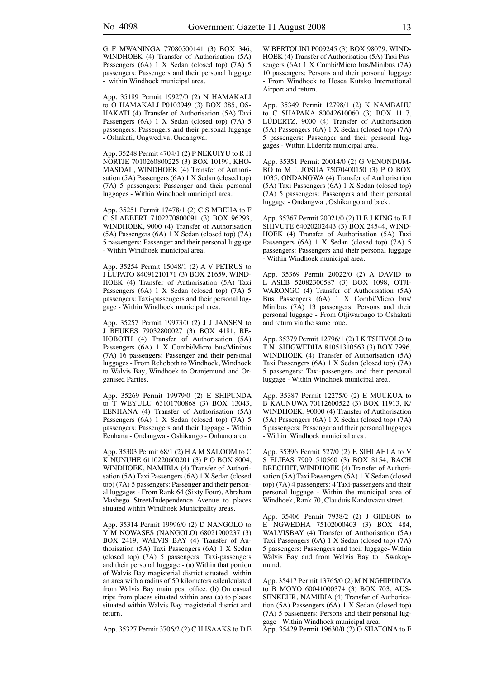G F MWANINGA 77080500141 (3) BOX 346, WINDHOEK (4) Transfer of Authorisation (5A) Passengers (6A) 1 X Sedan (closed top) (7A) 5 passengers: Passengers and their personal luggage - within Windhoek municipal area.

App. 35189 Permit 19927/0 (2) N HAMAKALI to O HAMAKALI P0103949 (3) BOX 385, OS-HAKATI (4) Transfer of Authorisation (5A) Taxi Passengers (6A) 1 X Sedan (closed top) (7A) 5 passengers: Passengers and their personal luggage - Oshakati, Ongwediva, Ondangwa.

App. 35248 Permit 4704/1 (2) P NEKUIYU to R H NORTJE 7010260800225 (3) BOX 10199, KHO-MASDAL, WINDHOEK (4) Transfer of Authorisation (5A) Passengers (6A) 1 X Sedan (closed top) (7A) 5 passengers: Passenger and their personal luggages - Within Windhoek municipal area.

App. 35251 Permit 17478/1 (2) C S MBEHA to F C SLABBERT 7102270800091 (3) BOX 96293, WINDHOEK, 9000 (4) Transfer of Authorisation (5A) Passengers (6A) 1 X Sedan (closed top) (7A) 5 passengers: Passenger and their personal luggage - Within Windhoek municipal area.

App. 35254 Permit 15048/1 (2) A V PETRUS to I LUPATO 84091210171 (3) BOX 21659, WIND-HOEK (4) Transfer of Authorisation (5A) Taxi Passengers (6A) 1 X Sedan (closed top) (7A) 5 passengers: Taxi-passengers and their personal luggage - Within Windhoek municipal area.

App. 35257 Permit 19973/0 (2) J J JANSEN to J BEUKES 79032800027 (3) BOX 4181, RE-HOBOTH (4) Transfer of Authorisation (5A) Passengers (6A) 1 X Combi/Micro bus/Minibus (7A) 16 passengers: Passenger and their personal luggages - From Rehoboth to Windhoek, Windhoek to Walvis Bay, Windhoek to Oranjemund and Organised Parties.

App. 35269 Permit 19979/0 (2) E SHIPUNDA to T WEYULU 63101700868 (3) BOX 13043, EENHANA (4) Transfer of Authorisation (5A) Passengers (6A) 1 X Sedan (closed top) (7A) 5 passengers: Passengers and their luggage - Within Eenhana - Ondangwa - Oshikango - Onhuno area.

App. 35303 Permit 68/1 (2) H A M SALOOM to C K NUNUHE 6110220600201 (3) P O BOX 8004, WINDHOEK, NAMIBIA (4) Transfer of Authorisation (5A) Taxi Passengers (6A) 1 X Sedan (closed top) (7A) 5 passengers: Passenger and their personal luggages - From Rank 64 (Sixty Four), Abraham Mashego Street/Independence Avenue to places situated within Windhoek Municipality areas.

App. 35314 Permit 19996/0 (2) D NANGOLO to Y M NOWASES (NANGOLO) 68021900237 (3) BOX 2419, WALVIS BAY (4) Transfer of Authorisation (5A) Taxi Passengers (6A) 1 X Sedan (closed top) (7A) 5 passengers: Taxi-passengers and their personal luggage - (a) Within that portion of Walvis Bay magisterial district situated within an area with a radius of 50 kilometers calculculated from Walvis Bay main post office. (b) On casual trips from places situated within area (a) to places situated within Walvis Bay magisterial district and return.

App. 35327 Permit 3706/2 (2) C H ISAAKS to D E

W BERTOLINI P009245 (3) BOX 98079, WIND-HOEK (4) Transfer of Authorisation (5A) Taxi Passengers (6A) 1 X Combi/Micro bus/Minibus (7A) 10 passengers: Persons and their personal luggage - From Windhoek to Hosea Kutako International Airport and return.

App. 35349 Permit 12798/1 (2) K NAMBAHU to C SHAPAKA 80042610060 (3) BOX 1117, LÜDERTZ, 9000 (4) Transfer of Authorisation (5A) Passengers (6A) 1 X Sedan (closed top) (7A) 5 passengers: Passenger and their personal luggages - Within Lüderitz municipal area.

App. 35351 Permit 20014/0 (2) G VENONDUM-BO to M L JOSUA 75070400150 (3) P O BOX 1035, ONDANGWA (4) Transfer of Authorisation (5A) Taxi Passengers (6A) 1 X Sedan (closed top) (7A) 5 passengers: Passengers and their personal luggage - Ondangwa , Oshikango and back.

App. 35367 Permit 20021/0 (2) H E J KING to E J SHIVUTE 64020202443 (3) BOX 24544, WIND-HOEK (4) Transfer of Authorisation (5A) Taxi Passengers (6A) 1 X Sedan (closed top) (7A) 5 passengers: Passengers and their personal luggage - Within Windhoek municipal area.

App. 35369 Permit 20022/0 (2) A DAVID to L ASEB 52082300587 (3) BOX 1098, OTJI-WARONGO (4) Transfer of Authorisation (5A) Bus Passengers (6A) 1 X Combi/Micro bus/ Minibus (7A) 13 passengers: Persons and their personal luggage - From Otjiwarongo to Oshakati and return via the same roue.

App. 35379 Permit 12796/1 (2) I K TSHIVOLO to T N SHIGWEDHA 81051310563 (3) BOX 7996, WINDHOEK (4) Transfer of Authorisation (5A) Taxi Passengers (6A) 1 X Sedan (closed top) (7A) 5 passengers: Taxi-passengers and their personal luggage - Within Windhoek municipal area.

App. 35387 Permit 12275/0 (2) E MUUKUA to B KAUNUWA 70112600522 (3) BOX 11913, K/ WINDHOEK, 90000 (4) Transfer of Authorisation (5A) Passengers (6A) 1 X Sedan (closed top) (7A) 5 passengers: Passenger and their personal luggages - Within Windhoek municipal area.

App. 35396 Permit 527/0 (2) E SIHLAHLA to V S ELIFAS 79091510560 (3) BOX 8154, BACH BRECHHT, WINDHOEK (4) Transfer of Authorisation (5A) Taxi Passengers (6A) 1 X Sedan (closed top) (7A) 4 passengers: 4 Taxi-passengers and their personal luggage - Within the municipal area of Windhoek, Rank 70, Clauduis Kandovazu street.

App. 35406 Permit 7938/2 (2) J GIDEON to E NGWEDHA 75102000403 (3) BOX 484, WALVISBAY (4) Transfer of Authorisation (5A) Taxi Passengers (6A) 1 X Sedan (closed top) (7A) 5 passengers: Passengers and their luggage- Within Walvis Bay and from Walvis Bay to Swakopmund.

App. 35417 Permit 13765/0 (2) M N NGHIPUNYA to B MOYO 60041000374 (3) BOX 703, AUS-SENKEHR, NAMIBIA (4) Transfer of Authorisation (5A) Passengers (6A) 1 X Sedan (closed top) (7A) 5 passengers: Persons and their personal luggage - Within Windhoek municipal area.

App. 35429 Permit 19630/0 (2) O SHATONA to F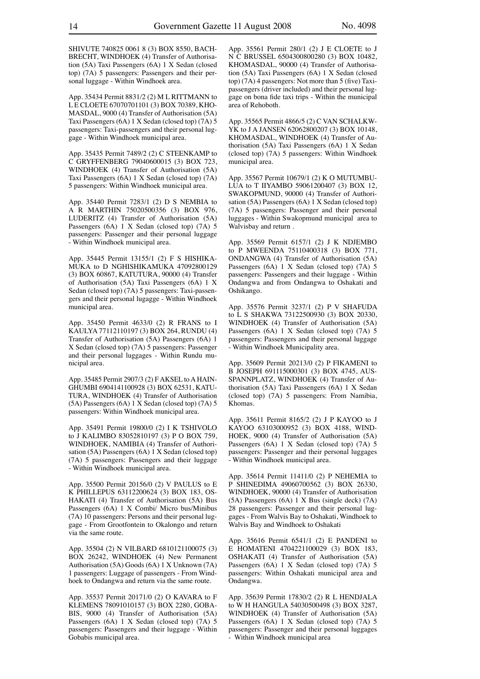SHIVUTE 740825 0061 8 (3) BOX 8550, BACH-BRECHT, WINDHOEK (4) Transfer of Authorisation (5A) Taxi Passengers (6A) 1 X Sedan (closed top) (7A) 5 passengers: Passengers and their personal luggage - Within Windhoek area.

App. 35434 Permit 8831/2 (2) M L RITTMANN to L E CLOETE 67070701101 (3) BOX 70389, KHO-MASDAL, 9000 (4) Transfer of Authorisation (5A) Taxi Passengers (6A) 1 X Sedan (closed top) (7A) 5 passengers: Taxi-passengers and their personal luggage - Within Windhoek municipal area.

App. 35435 Permit 7489/2 (2) C STEENKAMP to C GRYFFENBERG 79040600015 (3) BOX 723, WINDHOEK (4) Transfer of Authorisation (5A) Taxi Passengers (6A) 1 X Sedan (closed top) (7A) 5 passengers: Within Windhoek municipal area.

App. 35440 Permit 7283/1 (2) D S NEMBIA to A R MARTHIN 75020500356 (3) BOX 976, LUDERITZ (4) Transfer of Authorisation (5A) Passengers (6A) 1 X Sedan (closed top) (7A) 5 passengers: Passenger and their personal luggage - Within Windhoek municipal area.

App. 35445 Permit 13155/1 (2) F S HISHIKA-MUKA to D NGHISHIKAMUKA 47092800129 (3) BOX 60867, KATUTURA, 90000 (4) Transfer of Authorisation (5A) Taxi Passengers (6A) 1 X Sedan (closed top) (7A) 5 passengers: Taxi-passengers and their personal lugagge - Within Windhoek municipal area.

App. 35450 Permit 4633/0 (2) R FRANS to I KAULYA 77112110197 (3) BOX 264, RUNDU (4) Transfer of Authorisation (5A) Passengers (6A) 1 X Sedan (closed top) (7A) 5 passengers: Passenger and their personal luggages - Within Rundu municipal area.

App. 35485 Permit 2907/3 (2) F AKSEL to A HAIN-GHUMBI 6904141100928 (3) BOX 62531, KATU-TURA, WINDHOEK (4) Transfer of Authorisation (5A) Passengers (6A) 1 X Sedan (closed top) (7A) 5 passengers: Within Windhoek municipal area.

App. 35491 Permit 19800/0 (2) I K TSHIVOLO to J KALIMBO 83052810197 (3) P O BOX 759, WINDHOEK, NAMIBIA (4) Transfer of Authorisation (5A) Passengers (6A) 1 X Sedan (closed top) (7A) 5 passengers: Passengers and their luggage - Within Windhoek municipal area.

App. 35500 Permit 20156/0 (2) V PAULUS to E K PHILLEPUS 63112200624 (3) BOX 183, OS-HAKATI (4) Transfer of Authorisation (5A) Bus Passengers (6A) 1 X Combi/ Micro bus/Minibus (7A) 10 passengers: Persons and their personal luggage - From Grootfontein to Okalongo and return via the same route.

App. 35504 (2) N VILBARD 6810121100075 (3) BOX 26242, WINDHOEK (4) New Permanent Authorisation (5A) Goods (6A) 1 X Unknown (7A) 1 passengers: Luggage of passengers - From Windhoek to Ondangwa and return via the same route.

App. 35537 Permit 20171/0 (2) O KAVARA to F KLEMENS 78091010157 (3) BOX 2280, GOBA-BIS, 9000 (4) Transfer of Authorisation (5A) Passengers (6A) 1 X Sedan (closed top) (7A) 5 passengers: Passengers and their luggage - Within Gobabis municipal area.

App. 35561 Permit 280/1 (2) J E CLOETE to J N C BRUSSEL 6504300800280 (3) BOX 10482, KHOMASDAL, 90000 (4) Transfer of Authorisation (5A) Taxi Passengers (6A) 1 X Sedan (closed top) (7A) 4 passengers: Not more than 5 (five) Taxipassengers (driver included) and their personal luggage on bona fide taxi trips - Within the municipal area of Rehoboth.

App. 35565 Permit 4866/5 (2) C VAN SCHALKW-YK to J A JANSEN 62062800207 (3) BOX 10148, KHOMASDAL, WINDHOEK (4) Transfer of Authorisation (5A) Taxi Passengers (6A) 1 X Sedan (closed top) (7A) 5 passengers: Within Windhoek municipal area.

App. 35567 Permit 10679/1 (2) K O MUTUMBU-LUA to T IIYAMBO 59061200407 (3) BOX 12, SWAKOPMUND, 90000 (4) Transfer of Authorisation (5A) Passengers (6A) 1 X Sedan (closed top) (7A) 5 passengers: Passenger and their personal luggages - Within Swakopmund municipal area to Walvisbay and return .

App. 35569 Permit 6157/1 (2) J K NDJEMBO to P MWEENDA 75110400318 (3) BOX 771, ONDANGWA (4) Transfer of Authorisation (5A) Passengers (6A) 1 X Sedan (closed top) (7A) 5 passengers: Passengers and their luggage - Within Ondangwa and from Ondangwa to Oshakati and Oshikango.

App. 35576 Permit 3237/1 (2) P V SHAFUDA to L S SHAKWA 73122500930 (3) BOX 20330, WINDHOEK (4) Transfer of Authorisation (5A) Passengers (6A) 1 X Sedan (closed top) (7A) 5 passengers: Passengers and their personal luggage - Within Windhoek Municipality area.

App. 35609 Permit 20213/0 (2) P FIKAMENI to B JOSEPH 691115000301 (3) BOX 4745, AUS-SPANNPLATZ, WINDHOEK (4) Transfer of Authorisation (5A) Taxi Passengers (6A) 1 X Sedan (closed top) (7A) 5 passengers: From Namibia, Khomas.

App. 35611 Permit 8165/2 (2) J P KAYOO to J KAYOO 63103000952 (3) BOX 4188, WIND-HOEK, 9000 (4) Transfer of Authorisation (5A) Passengers (6A) 1 X Sedan (closed top) (7A) 5 passengers: Passenger and their personal luggages - Within Windhoek municipal area.

App. 35614 Permit 11411/0 (2) P NEHEMIA to P SHINEDIMA 49060700562 (3) BOX 26330, WINDHOEK, 90000 (4) Transfer of Authorisation (5A) Passengers (6A) 1 X Bus (single deck) (7A) 28 passengers: Passenger and their personal luggages - From Walvis Bay to Oshakati, Windhoek to Walvis Bay and Windhoek to Oshakati

App. 35616 Permit 6541/1 (2) E PANDENI to E HOMATENI 4704221100029 (3) BOX 183, OSHAKATI (4) Transfer of Authorisation (5A) Passengers (6A) 1 X Sedan (closed top) (7A) 5 passengers: Within Oshakati municipal area and Ondangwa.

App. 35639 Permit 17830/2 (2) R L HENDJALA to W H HANGULA 54030500498 (3) BOX 3287, WINDHOEK (4) Transfer of Authorisation (5A) Passengers (6A) 1 X Sedan (closed top) (7A) 5 passengers: Passenger and their personal luggages - Within Windhoek municipal area